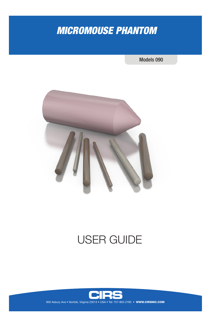## *MICROMOUSE PHANTOM*

Models 090



# USER GUIDE

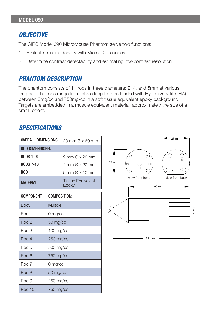#### *OBJECTIVE*

The CIRS Model 090 MicroMouse Phantom serve two functions:

- 1. Evaluate mineral density with Micro-CT scanners.
- 2. Determine contrast detectability and estimating low-contrast resolution

#### *PHANTOM DESCRIPTION*

The phantom consists of 11 rods in three diameters: 2, 4, and 5mm at various lengths. The rods range from inhale lung to rods loaded with Hydroxyapatite (HA) between 0mg/cc and 750mg/cc in a soft tissue equivalent epoxy background. Targets are embedded in a muscle equivalent material, approximately the size of a small rodent.

## *SPECIFICATIONS*

| <b>OVERALL DIMENSIONS</b> | 20 mm $\varnothing$ x 60 mm          |  |
|---------------------------|--------------------------------------|--|
| <b>ROD DIMENSIONS:</b>    |                                      |  |
| <b>RODS 1-6</b>           | 2 mm $\varnothing$ x 20 mm           |  |
| <b>RODS 7-10</b>          | 4 mm $\varnothing$ x 20 mm           |  |
| <b>ROD 11</b>             | $5 \text{ mm}$ $\varnothing$ x 10 mm |  |
| <b>MATFRIAL</b>           | <b>Tissue Equivalent</b>             |  |

| <b>COMPONENT:</b> | COMPOSITION: |  |
|-------------------|--------------|--|
| <b>Body</b>       | Muscle       |  |
| Rod 1             | $0$ mg/cc    |  |
| Rod <sub>2</sub>  | $50$ mg/cc   |  |
| Rod 3             | $100$ mg/cc  |  |
| Rod 4             | $250$ mg/cc  |  |
| Rod 5             | 500 mg/cc    |  |
| Rod 6             | 750 mg/cc    |  |
| Rod 7             | $0$ mg/cc    |  |
| Rod 8             | $50$ mg/cc   |  |
| Rod 9             | $250$ mg/cc  |  |
| Rod 10            | 750 mg/cc    |  |

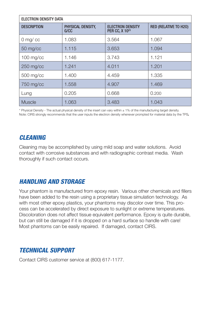| <b>ELECTRON DENSITY DATA</b> |                           |                                                  |                              |  |
|------------------------------|---------------------------|--------------------------------------------------|------------------------------|--|
| <b>DESCRIPTION</b>           | PHYSICAL DENSITY.<br>G/CC | <b>ELECTRON DENSITY</b><br><b>PER CC. X 1023</b> | <b>RED (RELATIVE TO H2O)</b> |  |
| $0 \, \text{mg}$ cc          | 1.083                     | 3.564                                            | 1.067                        |  |
| 50 mg/cc                     | 1.115                     | 3.653                                            | 1.094                        |  |
| $100$ mg/cc                  | 1.146                     | 3.743                                            | 1.121                        |  |
| $250$ mg/cc                  | 1.241                     | 4.011                                            | 1.201                        |  |
| 500 mg/cc                    | 1.400                     | 4.459                                            | 1.335                        |  |
| 750 mg/cc                    | 1.558                     | 4.907                                            | 1.469                        |  |
| Lung                         | 0.205                     | 0.668                                            | 0.200                        |  |
| <b>Muscle</b>                | 1.063                     | 3.483                                            | 1.043                        |  |

\* Physical Density - The actual physical density of the insert can vary within ± 1% of the manufacturing target density. Note: CIRS strongly recommends that the user inputs the electron density whenever prompted for material data by the TPS*.*

## *CLEANING*

Cleaning may be accomplished by using mild soap and water solutions. Avoid contact with corrosive substances and with radiographic contrast media. Wash thoroughly if such contact occurs.

#### *HANDLING AND STORAGE*

Your phantom is manufactured from epoxy resin. Various other chemicals and fillers have been added to the resin using a proprietary tissue simulation technology. As with most other epoxy plastics, your phantoms may discolor over time. This process can be accelerated by direct exposure to sunlight or extreme temperatures. Discoloration does not affect tissue equivalent performance. Epoxy is quite durable, but can still be damaged if it is dropped on a hard surface so handle with care! Most phantoms can be easily repaired. If damaged, contact CIRS.

## *TECHNICAL SUPPORT*

Contact CIRS customer service at (800) 617-1177.